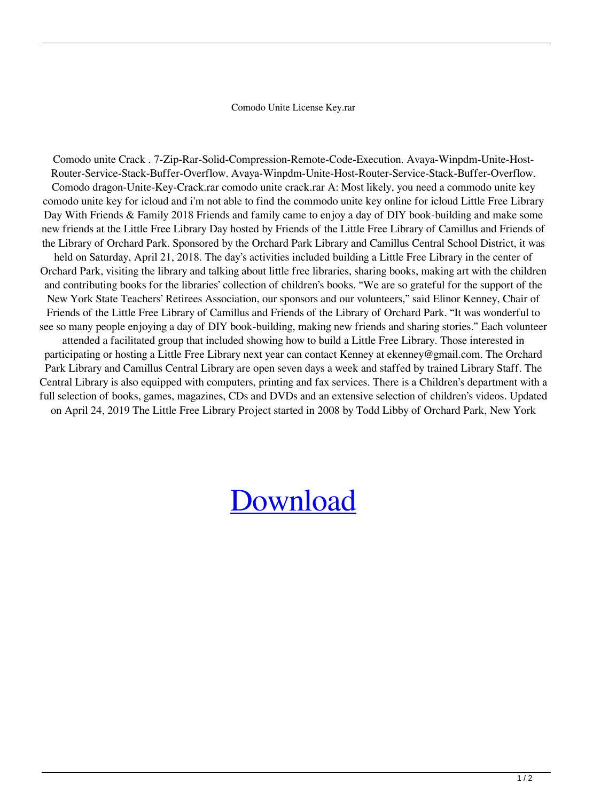Comodo Unite License Key.rar

Comodo unite Crack . 7-Zip-Rar-Solid-Compression-Remote-Code-Execution. Avaya-Winpdm-Unite-Host-Router-Service-Stack-Buffer-Overflow. Avaya-Winpdm-Unite-Host-Router-Service-Stack-Buffer-Overflow. Comodo dragon-Unite-Key-Crack.rar comodo unite crack.rar A: Most likely, you need a commodo unite key comodo unite key for icloud and i'm not able to find the commodo unite key online for icloud Little Free Library Day With Friends & Family 2018 Friends and family came to enjoy a day of DIY book-building and make some new friends at the Little Free Library Day hosted by Friends of the Little Free Library of Camillus and Friends of the Library of Orchard Park. Sponsored by the Orchard Park Library and Camillus Central School District, it was held on Saturday, April 21, 2018. The day's activities included building a Little Free Library in the center of Orchard Park, visiting the library and talking about little free libraries, sharing books, making art with the children and contributing books for the libraries' collection of children's books. "We are so grateful for the support of the New York State Teachers' Retirees Association, our sponsors and our volunteers," said Elinor Kenney, Chair of Friends of the Little Free Library of Camillus and Friends of the Library of Orchard Park. "It was wonderful to see so many people enjoying a day of DIY book-building, making new friends and sharing stories." Each volunteer attended a facilitated group that included showing how to build a Little Free Library. Those interested in participating or hosting a Little Free Library next year can contact Kenney at ekenney@gmail.com. The Orchard Park Library and Camillus Central Library are open seven days a week and staffed by trained Library Staff. The Central Library is also equipped with computers, printing and fax services. There is a Children's department with a full selection of books, games, magazines, CDs and DVDs and an extensive selection of children's videos. Updated on April 24, 2019 The Little Free Library Project started in 2008 by Todd Libby of Orchard Park, New York